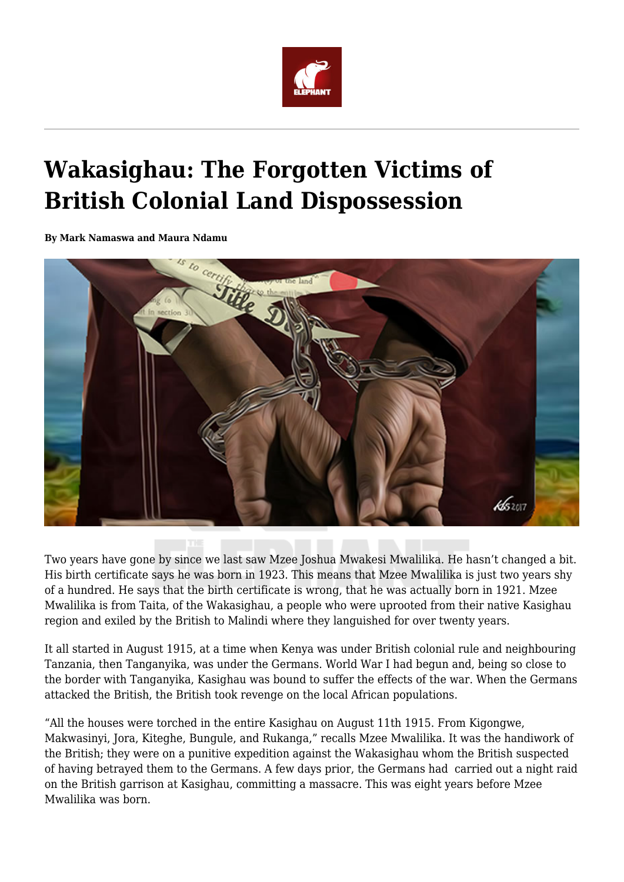

## **Wakasighau: The Forgotten Victims of British Colonial Land Dispossession**

**By Mark Namaswa and Maura Ndamu**



Two years have gone by since we last saw Mzee Joshua Mwakesi Mwalilika. He hasn't changed a bit. His birth certificate says he was born in 1923. This means that Mzee Mwalilika is just two years shy of a hundred. He says that the birth certificate is wrong, that he was actually born in 1921. Mzee Mwalilika is from Taita, of the Wakasighau, a people who were uprooted from their native Kasighau region and exiled by the British to Malindi where they languished for over twenty years.

It all started in August 1915, at a time when Kenya was under British colonial rule and neighbouring Tanzania, then Tanganyika, was under the Germans. World War I had begun and, being so close to the border with Tanganyika, Kasighau was bound to suffer the effects of the war. When the Germans attacked the British, the British took revenge on the local African populations.

"All the houses were torched in the entire Kasighau on August 11th 1915. From Kigongwe, Makwasinyi, Jora, Kiteghe, Bungule, and Rukanga," recalls Mzee Mwalilika. It was the handiwork of the British; they were on a punitive expedition against the Wakasighau whom the British suspected of having betrayed them to the Germans. A few days prior, the Germans had carried out a night raid on the British garrison at Kasighau, committing a massacre. This was eight years before Mzee Mwalilika was born.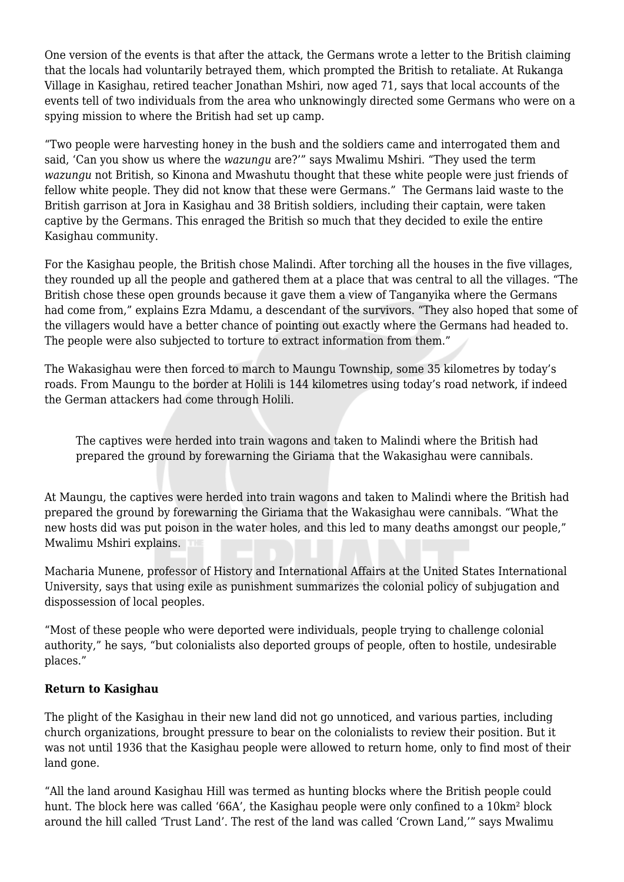One version of the events is that after the attack, the Germans wrote a letter to the British claiming that the locals had voluntarily betrayed them, which prompted the British to retaliate. At Rukanga Village in Kasighau, retired teacher Jonathan Mshiri, now aged 71, says that local accounts of the events tell of two individuals from the area who unknowingly directed some Germans who were on a spying mission to where the British had set up camp.

"Two people were harvesting honey in the bush and the soldiers came and interrogated them and said, 'Can you show us where the *wazungu* are?'" says Mwalimu Mshiri. "They used the term *wazungu* not British, so Kinona and Mwashutu thought that these white people were just friends of fellow white people. They did not know that these were Germans." The Germans laid waste to the British garrison at Jora in Kasighau and 38 British soldiers, including their captain, were taken captive by the Germans. This enraged the British so much that they decided to exile the entire Kasighau community.

For the Kasighau people, the British chose Malindi. After torching all the houses in the five villages, they rounded up all the people and gathered them at a place that was central to all the villages. "The British chose these open grounds because it gave them a view of Tanganyika where the Germans had come from," explains Ezra Mdamu, a descendant of the survivors. "They also hoped that some of the villagers would have a better chance of pointing out exactly where the Germans had headed to. The people were also subjected to torture to extract information from them."

The Wakasighau were then forced to march to Maungu Township, some 35 kilometres by today's roads. From Maungu to the border at Holili is 144 kilometres using today's road network, if indeed the German attackers had come through Holili.

The captives were herded into train wagons and taken to Malindi where the British had prepared the ground by forewarning the Giriama that the Wakasighau were cannibals.

At Maungu, the captives were herded into train wagons and taken to Malindi where the British had prepared the ground by forewarning the Giriama that the Wakasighau were cannibals. "What the new hosts did was put poison in the water holes, and this led to many deaths amongst our people," Mwalimu Mshiri explains.

Macharia Munene, professor of History and International Affairs at the United States International University, says that using exile as punishment summarizes the colonial policy of subjugation and dispossession of local peoples.

"Most of these people who were deported were individuals, people trying to challenge colonial authority," he says, "but colonialists also deported groups of people, often to hostile, undesirable places."

## **Return to Kasighau**

The plight of the Kasighau in their new land did not go unnoticed, and various parties, including church organizations, brought pressure to bear on the colonialists to review their position. But it was not until 1936 that the Kasighau people were allowed to return home, only to find most of their land gone.

"All the land around Kasighau Hill was termed as hunting blocks where the British people could hunt. The block here was called '66A', the Kasighau people were only confined to a 10km² block around the hill called 'Trust Land'. The rest of the land was called 'Crown Land,'" says Mwalimu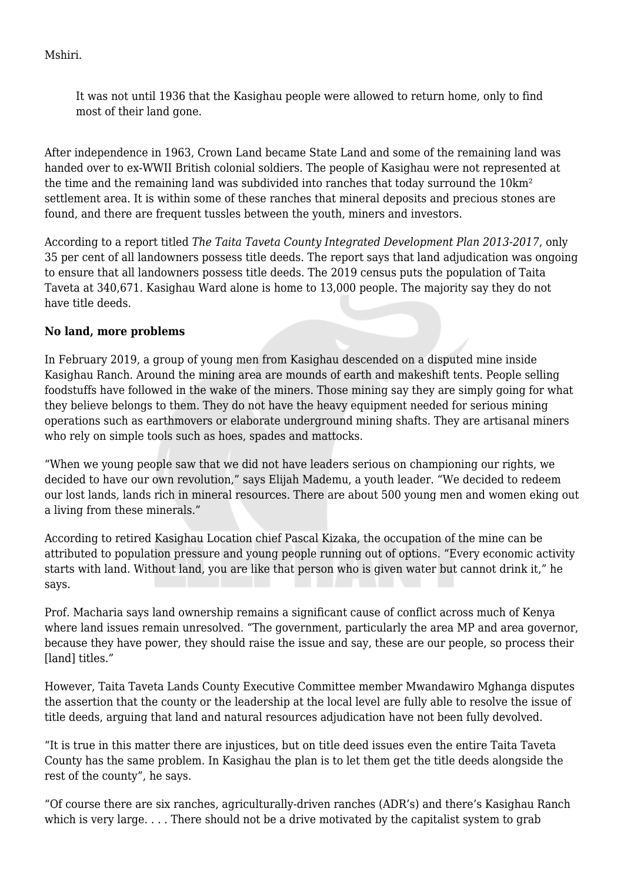Mshiri.

It was not until 1936 that the Kasighau people were allowed to return home, only to find most of their land gone.

After independence in 1963, Crown Land became State Land and some of the remaining land was handed over to ex-WWII British colonial soldiers. The people of Kasighau were not represented at the time and the remaining land was subdivided into ranches that today surround the 10km<sup>2</sup> settlement area. It is within some of these ranches that mineral deposits and precious stones are found, and there are frequent tussles between the youth, miners and investors.

According to a report titled *The Taita Taveta County Integrated Development Plan 2013-2017*, only 35 per cent of all landowners possess title deeds. The report says that land adjudication was ongoing to ensure that all landowners possess title deeds. The 2019 census puts the population of Taita Taveta at 340,671. Kasighau Ward alone is home to 13,000 people. The majority say they do not have title deeds.

## **No land, more problems**

In February 2019, a group of young men from Kasighau descended on a disputed mine inside Kasighau Ranch. Around the mining area are mounds of earth and makeshift tents. People selling foodstuffs have followed in the wake of the miners. Those mining say they are simply going for what they believe belongs to them. They do not have the heavy equipment needed for serious mining operations such as earthmovers or elaborate underground mining shafts. They are artisanal miners who rely on simple tools such as hoes, spades and mattocks.

"When we young people saw that we did not have leaders serious on championing our rights, we decided to have our own revolution," says Elijah Mademu, a youth leader. "We decided to redeem our lost lands, lands rich in mineral resources. There are about 500 young men and women eking out a living from these minerals."

According to retired Kasighau Location chief Pascal Kizaka, the occupation of the mine can be attributed to population pressure and young people running out of options. "Every economic activity starts with land. Without land, you are like that person who is given water but cannot drink it," he says.

Prof. Macharia says land ownership remains a significant cause of conflict across much of Kenya where land issues remain unresolved. "The government, particularly the area MP and area governor, because they have power, they should raise the issue and say, these are our people, so process their [land] titles."

However, Taita Taveta Lands County Executive Committee member Mwandawiro Mghanga disputes the assertion that the county or the leadership at the local level are fully able to resolve the issue of title deeds, arguing that land and natural resources adjudication have not been fully devolved.

"It is true in this matter there are injustices, but on title deed issues even the entire Taita Taveta County has the same problem. In Kasighau the plan is to let them get the title deeds alongside the rest of the county", he says.

"Of course there are six ranches, agriculturally-driven ranches (ADR's) and there's Kasighau Ranch which is very large. . . . There should not be a drive motivated by the capitalist system to grab